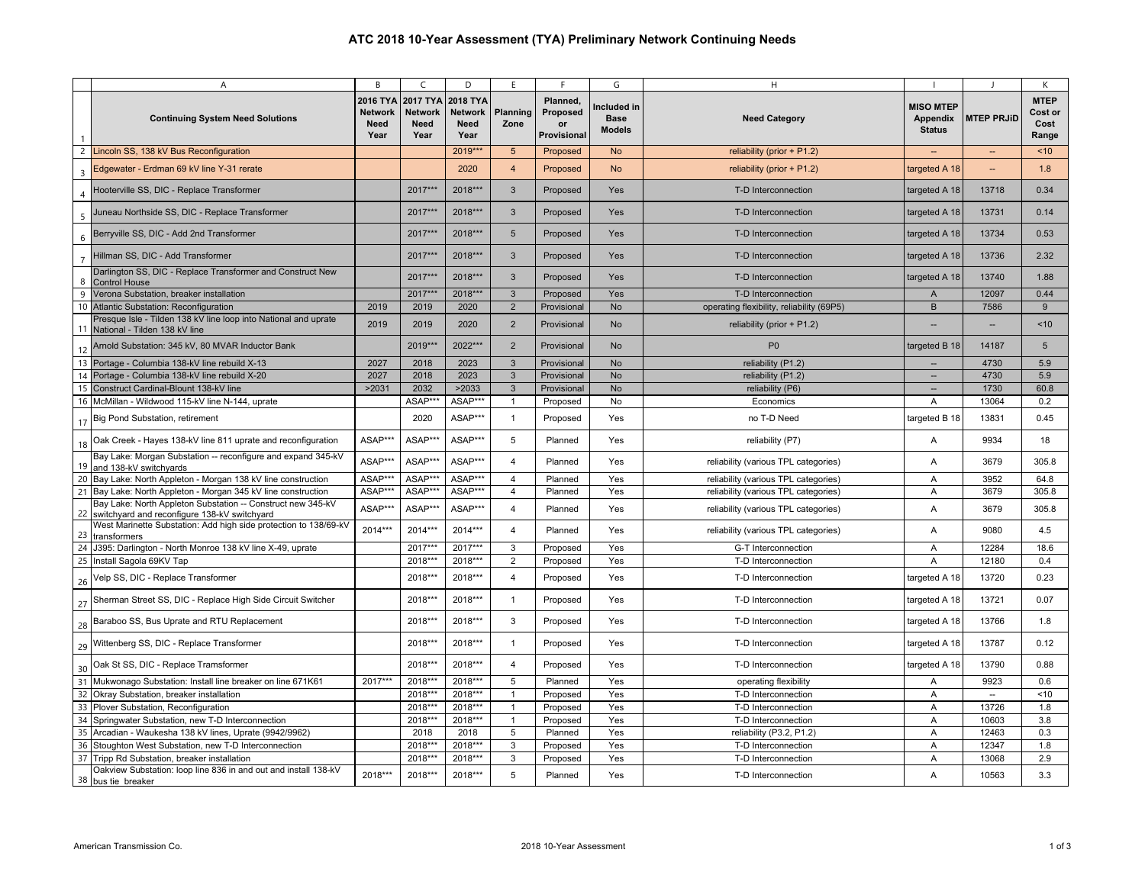|                |                                                                                                             |                                                               |                                                               |                                                               |                       | F                                         |                                           |                                           |                                                      |                          |                                              |
|----------------|-------------------------------------------------------------------------------------------------------------|---------------------------------------------------------------|---------------------------------------------------------------|---------------------------------------------------------------|-----------------------|-------------------------------------------|-------------------------------------------|-------------------------------------------|------------------------------------------------------|--------------------------|----------------------------------------------|
|                | Α<br><b>Continuing System Need Solutions</b>                                                                | B<br><b>2016 TYA</b><br><b>Network</b><br><b>Need</b><br>Year | C<br><b>2017 TYA</b><br><b>Network</b><br><b>Need</b><br>Year | D<br><b>2018 TYA</b><br><b>Network</b><br><b>Need</b><br>Year | E<br>Planning<br>Zone | Planned.<br>Proposed<br>or<br>Provisional | G<br>Included in<br><b>Base</b><br>Models | н<br><b>Need Category</b>                 | <b>MISO MTEP</b><br><b>Appendix</b><br><b>Status</b> | <b>MTEP PRJID</b>        | К<br><b>MTEP</b><br>Cost or<br>Cost<br>Range |
|                | 2 Lincoln SS, 138 kV Bus Reconfiguration                                                                    |                                                               |                                                               | 2019***                                                       | $5\overline{5}$       | Proposed                                  | <b>No</b>                                 | reliability (prior $+$ P1.2)              |                                                      |                          | ~10                                          |
| $\overline{3}$ | Edgewater - Erdman 69 kV line Y-31 rerate                                                                   |                                                               |                                                               | 2020                                                          | $\overline{4}$        | Proposed                                  | <b>No</b>                                 | reliability (prior $+$ P1.2)              | targeted A 18                                        |                          | 1.8                                          |
|                | Hooterville SS, DIC - Replace Transformer                                                                   |                                                               | 2017***                                                       | 2018***                                                       | 3                     | Proposed                                  | Yes                                       | T-D Interconnection                       | targeted A 18                                        | 13718                    | 0.34                                         |
| $\overline{5}$ | Juneau Northside SS, DIC - Replace Transformer                                                              |                                                               | 2017***                                                       | 2018***                                                       | $\mathbf{3}$          | Proposed                                  | Yes                                       | T-D Interconnection                       | targeted A 18                                        | 13731                    | 0.14                                         |
| 6              | Berryville SS, DIC - Add 2nd Transformer                                                                    |                                                               | 2017***                                                       | 2018***                                                       | $5\overline{)}$       | Proposed                                  | Yes                                       | T-D Interconnection                       | targeted A 18                                        | 13734                    | 0.53                                         |
| $\overline{7}$ | Hillman SS, DIC - Add Transformer                                                                           |                                                               | 2017***                                                       | 2018***                                                       | $\mathbf{3}$          | Proposed                                  | Yes                                       | T-D Interconnection                       | targeted A 18                                        | 13736                    | 2.32                                         |
| 8              | Darlington SS, DIC - Replace Transformer and Construct New<br><b>Control House</b>                          |                                                               | 2017***                                                       | 2018***                                                       | $\mathbf{3}$          | Proposed                                  | Yes                                       | T-D Interconnection                       | targeted A 18                                        | 13740                    | 1.88                                         |
| 9              | Verona Substation, breaker installation                                                                     |                                                               | 2017***                                                       | 2018***                                                       | $\mathbf{3}$          | Proposed                                  | Yes                                       | T-D Interconnection                       | A                                                    | 12097                    | 0.44                                         |
|                | 10 Atlantic Substation: Reconfiguration                                                                     | 2019                                                          | 2019                                                          | 2020                                                          | $\overline{2}$        | Provisional                               | <b>No</b>                                 | operating flexibility, reliability (69P5) | B                                                    | 7586                     | 9                                            |
|                | Presque Isle - Tilden 138 kV line loop into National and uprate<br>11 National - Tilden 138 kV line         | 2019                                                          | 2019                                                          | 2020                                                          | $\overline{2}$        | Provisional                               | No                                        | reliability (prior + P1.2)                |                                                      |                          | < 10                                         |
| 12             | Arnold Substation: 345 kV, 80 MVAR Inductor Bank                                                            |                                                               | 2019***                                                       | 2022***                                                       | $\overline{2}$        | Provisional                               | <b>No</b>                                 | P <sub>0</sub>                            | targeted B 18                                        | 14187                    | $5\overline{)}$                              |
|                | 13 Portage - Columbia 138-kV line rebuild X-13                                                              | 2027                                                          | 2018                                                          | 2023                                                          | $\mathbf{3}$          | Provisional                               | <b>No</b>                                 | reliability (P1.2)                        |                                                      | 4730                     | 5.9                                          |
| 14             | Portage - Columbia 138-kV line rebuild X-20                                                                 | 2027                                                          | 2018                                                          | 2023                                                          | $\mathbf{3}$          | Provisional                               | <b>No</b>                                 | reliability (P1.2)                        | --                                                   | 4730                     | 5.9                                          |
|                | 15 Construct Cardinal-Blount 138-kV line                                                                    | >2031                                                         | 2032                                                          | >2033                                                         | $\mathbf{3}$          | Provisional                               | <b>No</b>                                 | reliability (P6)                          | --                                                   | 1730                     | 60.8                                         |
|                | 16 McMillan - Wildwood 115-kV line N-144, uprate                                                            |                                                               | ASAP**                                                        | ASAP***                                                       | $\mathbf{1}$          | Proposed                                  | No                                        | Economics                                 | Α                                                    | 13064                    | 0.2                                          |
| 17             | <b>Big Pond Substation, retirement</b>                                                                      |                                                               | 2020                                                          | ASAP***                                                       | $\mathbf{1}$          | Proposed                                  | Yes                                       | no T-D Need                               | targeted B 18                                        | 13831                    | 0.45                                         |
| 18             | Oak Creek - Hayes 138-kV line 811 uprate and reconfiguration                                                | ASAP***                                                       | ASAP**                                                        | ASAP***                                                       | 5                     | Planned                                   | Yes                                       | reliability (P7)                          | Α                                                    | 9934                     | 18                                           |
| 19             | Bay Lake: Morgan Substation -- reconfigure and expand 345-kV<br>and 138-kV switchyards                      | ASAP***                                                       | ASAP**                                                        | ASAP***                                                       | $\overline{4}$        | Planned                                   | Yes                                       | reliability (various TPL categories)      | Α                                                    | 3679                     | 305.8                                        |
|                | 20 Bay Lake: North Appleton - Morgan 138 kV line construction                                               | ASAP***                                                       | ASAP**                                                        | ASAP***                                                       | $\overline{4}$        | Planned                                   | Yes                                       | reliability (various TPL categories)      | Α                                                    | 3952                     | 64.8                                         |
|                | 21 Bay Lake: North Appleton - Morgan 345 kV line construction                                               | ASAP**                                                        | ASAP**                                                        | ASAP***                                                       | $\overline{4}$        | Planned                                   | Yes                                       | reliability (various TPL categories)      | Α                                                    | 3679                     | 305.8                                        |
| 22             | Bay Lake: North Appleton Substation -- Construct new 345-kV<br>switchyard and reconfigure 138-kV switchyard | ASAP**                                                        | ASAP**                                                        | ASAP***                                                       | $\overline{4}$        | Planned                                   | Yes                                       | reliability (various TPL categories)      | Α                                                    | 3679                     | 305.8                                        |
| 23             | West Marinette Substation: Add high side protection to 138/69-kV<br>transformers                            | 2014***                                                       | $2014***$                                                     | 2014***                                                       | $\overline{4}$        | Planned                                   | Yes                                       | reliability (various TPL categories)      | Α                                                    | 9080                     | 4.5                                          |
| 24             | J395: Darlington - North Monroe 138 kV line X-49, uprate                                                    |                                                               | 2017**                                                        | $2017***$                                                     | 3                     | Proposed                                  | Yes                                       | G-T Interconnection                       | Α                                                    | 12284                    | 18.6                                         |
|                | 25 Install Sagola 69KV Tap                                                                                  |                                                               | 2018***                                                       | 2018***                                                       | $\overline{2}$        | Proposed                                  | Yes                                       | T-D Interconnection                       | A                                                    | 12180                    | 0.4                                          |
| 26             | Velp SS, DIC - Replace Transformer                                                                          |                                                               | 2018***                                                       | 2018***                                                       | $\overline{4}$        | Proposed                                  | Yes                                       | T-D Interconnection                       | targeted A 18                                        | 13720                    | 0.23                                         |
| 27             | Sherman Street SS, DIC - Replace High Side Circuit Switcher                                                 |                                                               | 2018***                                                       | 2018***                                                       | $\overline{1}$        | Proposed                                  | Yes                                       | T-D Interconnection                       | targeted A 18                                        | 13721                    | 0.07                                         |
| 28             | Baraboo SS, Bus Uprate and RTU Replacement                                                                  |                                                               | 2018***                                                       | 2018***                                                       | 3                     | Proposed                                  | Yes                                       | T-D Interconnection                       | targeted A 18                                        | 13766                    | 1.8                                          |
| 29             | Wittenberg SS, DIC - Replace Transformer                                                                    |                                                               | 2018***                                                       | 2018***                                                       | $\overline{1}$        | Proposed                                  | Yes                                       | T-D Interconnection                       | targeted A 18                                        | 13787                    | 0.12                                         |
| 30             | Oak St SS, DIC - Replace Tramsformer                                                                        |                                                               | 2018***                                                       | 2018***                                                       | 4                     | Proposed                                  | Yes                                       | T-D Interconnection                       | targeted A 18                                        | 13790                    | 0.88                                         |
| 31             | Mukwonago Substation: Install line breaker on line 671K61                                                   | 2017***                                                       | 2018***                                                       | 2018***                                                       | 5                     | Planned                                   | Yes                                       | operating flexibility                     | Α                                                    | 9923                     | 0.6                                          |
| 32             | Okray Substation, breaker installation                                                                      |                                                               | 2018***                                                       | 2018***                                                       | $\mathbf{1}$          | Proposed                                  | Yes                                       | T-D Interconnection                       | Α                                                    | $\overline{\phantom{a}}$ | < 10                                         |
| 33             | Plover Substation, Reconfiguration                                                                          |                                                               | 2018**                                                        | 2018***                                                       | $\mathbf{1}$          | Proposed                                  | Yes                                       | T-D Interconnection                       | Α                                                    | 13726                    | 1.8                                          |
| 34             | Springwater Substation, new T-D Interconnection                                                             |                                                               | 2018***                                                       | 2018***                                                       | $\overline{1}$        | Proposed                                  | Yes                                       | T-D Interconnection                       | Α                                                    | 10603                    | 3.8                                          |
| 35             | Arcadian - Waukesha 138 kV lines, Uprate (9942/9962)                                                        |                                                               | 2018                                                          | 2018                                                          | 5                     | Planned                                   | Yes                                       | reliability (P3.2, P1.2)                  | Α                                                    | 12463                    | 0.3                                          |
| 36             | Stoughton West Substation, new T-D Interconnection                                                          |                                                               | 2018**                                                        | 2018***                                                       | 3                     | Proposed                                  | Yes                                       | T-D Interconnection                       | Α                                                    | 12347                    | 1.8                                          |
| 37             | Tripp Rd Substation, breaker installation                                                                   |                                                               | 2018**                                                        | 2018***                                                       | 3                     | Proposed                                  | Yes                                       | T-D Interconnection                       | Α                                                    | 13068                    | 2.9                                          |
|                | Oakview Substation: loop line 836 in and out and install 138-kV                                             |                                                               |                                                               |                                                               |                       |                                           |                                           |                                           |                                                      |                          |                                              |
| 38             | bus tie breaker                                                                                             | 2018***                                                       | 2018***                                                       | 2018***                                                       | 5                     | Planned                                   | Yes                                       | T-D Interconnection                       | Α                                                    | 10563                    | 3.3                                          |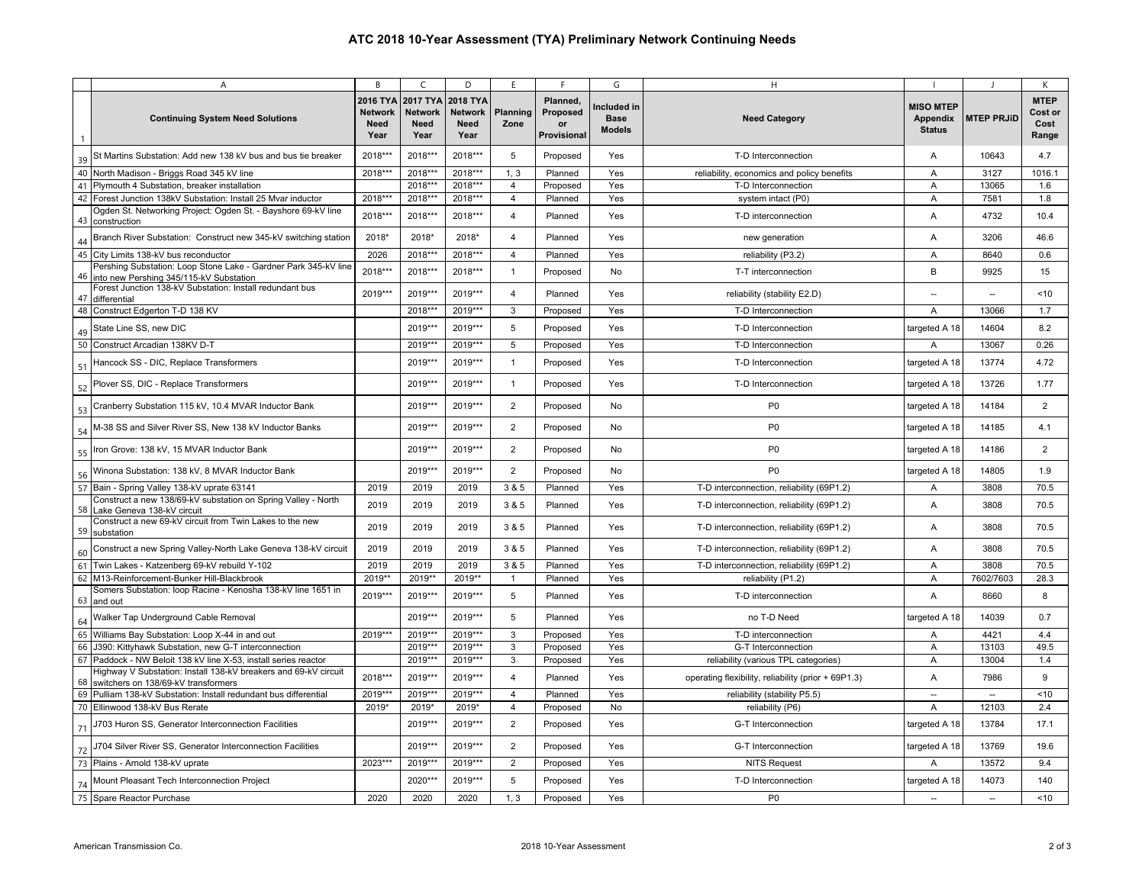|    | $\overline{A}$                                                                                             | B                                          | $\mathsf{C}$                                      | D                                                        | E                | E                                                | G                                           | H                                                   |                                               |                   | К                                       |
|----|------------------------------------------------------------------------------------------------------------|--------------------------------------------|---------------------------------------------------|----------------------------------------------------------|------------------|--------------------------------------------------|---------------------------------------------|-----------------------------------------------------|-----------------------------------------------|-------------------|-----------------------------------------|
| -1 | <b>Continuing System Need Solutions</b>                                                                    | 2016 TYA<br>Network<br><b>Need</b><br>Year | 2017 TYA<br><b>Network</b><br><b>Need</b><br>Year | <b>2018 TYA</b><br><b>Network</b><br><b>Need</b><br>Year | Planning<br>Zone | Planned,<br>Proposed<br>or<br><b>Provisional</b> | Included in<br><b>Base</b><br><b>Models</b> | <b>Need Category</b>                                | <b>MISO MTEP</b><br>Appendix<br><b>Status</b> | <b>MTEP PRJID</b> | <b>MTEP</b><br>Cost or<br>Cost<br>Range |
| 39 | St Martins Substation: Add new 138 kV bus and bus tie breaker                                              | 2018***                                    | 2018***                                           | 2018***                                                  | 5                | Proposed                                         | Yes                                         | T-D Interconnection                                 | Α                                             | 10643             | 4.7                                     |
| 40 | North Madison - Briggs Road 345 kV line                                                                    | 2018***                                    | 2018**                                            | 2018***                                                  | 1, 3             | Planned                                          | Yes                                         | reliability, economics and policy benefits          | Α                                             | 3127              | 1016.1                                  |
| 41 | Plymouth 4 Substation, breaker installation                                                                |                                            | 2018**                                            | 2018***                                                  | $\overline{4}$   | Proposed                                         | Yes                                         | T-D Interconnection                                 | A                                             | 13065             | 1.6                                     |
| 42 | Forest Junction 138kV Substation: Install 25 Mvar inductor                                                 | 2018***                                    | 2018***                                           | 2018***                                                  | $\overline{4}$   | Planned                                          | Yes                                         | system intact (P0)                                  | $\overline{A}$                                | 7581              | 1.8                                     |
| 43 | Ogden St. Networking Project: Ogden St. - Bayshore 69-kV line<br>construction                              | 2018***                                    | 2018***                                           | 2018***                                                  | $\overline{4}$   | Planned                                          | Yes                                         | T-D interconnection                                 | A                                             | 4732              | 10.4                                    |
| 44 | Branch River Substation: Construct new 345-kV switching station                                            | 2018*                                      | 2018*                                             | 2018*                                                    | $\overline{4}$   | Planned                                          | Yes                                         | new generation                                      | A                                             | 3206              | 46.6                                    |
| 45 | City Limits 138-kV bus reconductor                                                                         | 2026                                       | $2018***$                                         | 2018***                                                  | $\overline{4}$   | Planned                                          | Yes                                         | reliability (P3.2)                                  | $\overline{A}$                                | 8640              | 0.6                                     |
| 46 | Pershing Substation: Loop Stone Lake - Gardner Park 345-kV line<br>into new Pershing 345/115-kV Substation | 2018***                                    | 2018***                                           | 2018***                                                  | $\mathbf{1}$     | Proposed                                         | No                                          | T-T interconnection                                 | B                                             | 9925              | 15                                      |
| 47 | Forest Junction 138-kV Substation: Install redundant bus<br>differential                                   | 2019***                                    | 2019***                                           | 2019***                                                  | 4                | Planned                                          | Yes                                         | reliability (stability E2.D)                        | ÷.                                            | $\sim$            | < 10                                    |
|    | 48 Construct Edgerton T-D 138 KV                                                                           |                                            | 2018***                                           | 2019***                                                  | 3                | Proposed                                         | Yes                                         | T-D Interconnection                                 | $\overline{A}$                                | 13066             | 1.7                                     |
| 49 | State Line SS, new DIC                                                                                     |                                            | 2019***                                           | 2019***                                                  | 5                | Proposed                                         | Yes                                         | T-D Interconnection                                 | targeted A 18                                 | 14604             | 8.2                                     |
|    | 50 Construct Arcadian 138KV D-T                                                                            |                                            | 2019**                                            | 2019***                                                  | 5                | Proposed                                         | Yes                                         | T-D Interconnection                                 | A                                             | 13067             | 0.26                                    |
| 51 | Hancock SS - DIC, Replace Transformers                                                                     |                                            | 2019**                                            | 2019***                                                  | $\mathbf{1}$     | Proposed                                         | Yes                                         | T-D Interconnection                                 | targeted A 18                                 | 13774             | 4.72                                    |
| 52 | Plover SS, DIC - Replace Transformers                                                                      |                                            | 2019***                                           | 2019***                                                  | $\mathbf{1}$     | Proposed                                         | Yes                                         | T-D Interconnection                                 | targeted A 18                                 | 13726             | 1.77                                    |
| 53 | Cranberry Substation 115 kV, 10.4 MVAR Inductor Bank                                                       |                                            | 2019***                                           | 2019***                                                  | $\overline{2}$   | Proposed                                         | No                                          | P <sub>0</sub>                                      | targeted A 18                                 | 14184             | 2                                       |
| 54 | M-38 SS and Silver River SS, New 138 kV Inductor Banks                                                     |                                            | 2019***                                           | 2019***                                                  | 2                | Proposed                                         | No                                          | P <sub>0</sub>                                      | targeted A 18                                 | 14185             | 4.1                                     |
| 55 | Iron Grove: 138 kV, 15 MVAR Inductor Bank                                                                  |                                            | 2019***                                           | 2019***                                                  | $\overline{2}$   | Proposed                                         | No                                          | P <sub>0</sub>                                      | targeted A 18                                 | 14186             | 2                                       |
| 56 | Winona Substation: 138 kV, 8 MVAR Inductor Bank                                                            |                                            | 2019**                                            | 2019***                                                  | $\overline{2}$   | Proposed                                         | No                                          | P <sub>0</sub>                                      | targeted A 18                                 | 14805             | 1.9                                     |
| 57 | Bain - Spring Valley 138-kV uprate 63141                                                                   | 2019                                       | 2019                                              | 2019                                                     | 3 & 5            | Planned                                          | Yes                                         | T-D interconnection, reliability (69P1.2)           | Α                                             | 3808              | 70.5                                    |
|    | Construct a new 138/69-kV substation on Spring Valley - North<br>58 Lake Geneva 138-kV circuit             | 2019                                       | 2019                                              | 2019                                                     | 3 & 5            | Planned                                          | Yes                                         | T-D interconnection, reliability (69P1.2)           | A                                             | 3808              | 70.5                                    |
|    | Construct a new 69-kV circuit from Twin Lakes to the new<br>59 substation                                  | 2019                                       | 2019                                              | 2019                                                     | 3 & 5            | Planned                                          | Yes                                         | T-D interconnection, reliability (69P1.2)           | $\overline{A}$                                | 3808              | 70.5                                    |
| 60 | Construct a new Spring Valley-North Lake Geneva 138-kV circuit                                             | 2019                                       | 2019                                              | 2019                                                     | 3 & 5            | Planned                                          | Yes                                         | T-D interconnection, reliability (69P1.2)           | Α                                             | 3808              | 70.5                                    |
| 61 | Twin Lakes - Katzenberg 69-kV rebuild Y-102                                                                | 2019                                       | 2019                                              | 2019                                                     | 3 & 5            | Planned                                          | Yes                                         | T-D interconnection, reliability (69P1.2)           | A                                             | 3808              | 70.5                                    |
| 62 | M13-Reinforcement-Bunker Hill-Blackbrook                                                                   | 2019**                                     | 2019**                                            | 2019**                                                   | $\mathbf{1}$     | Planned                                          | Yes                                         | reliability (P1.2)                                  | A                                             | 7602/7603         | 28.3                                    |
|    | Somers Substation: loop Racine - Kenosha 138-kV line 1651 in<br>63 and out                                 | 2019***                                    | 2019***                                           | 2019***                                                  | 5                | Planned                                          | Yes                                         | T-D interconnection                                 | $\overline{A}$                                | 8660              | 8                                       |
| 64 | Walker Tap Underground Cable Removal                                                                       |                                            | 2019***                                           | 2019***                                                  | 5                | Planned                                          | Yes                                         | no T-D Need                                         | targeted A 18                                 | 14039             | 0.7                                     |
| 65 | Williams Bay Substation: Loop X-44 in and out                                                              | 2019***                                    | 2019***                                           | 2019***                                                  | 3                | Proposed                                         | Yes                                         | T-D interconnection                                 | A                                             | 4421              | 4.4                                     |
| 66 | J390: Kittyhawk Substation, new G-T interconnection                                                        |                                            | 2019***                                           | 2019***                                                  | 3                | Proposed                                         | Yes                                         | G-T Interconnection                                 | A                                             | 13103             | 49.5                                    |
| 67 | Paddock - NW Beloit 138 kV line X-53, install series reactor                                               |                                            | 2019**                                            | 2019***                                                  | 3                | Proposed                                         | Yes                                         | reliability (various TPL categories)                | A                                             | 13004             | 1.4                                     |
| 68 | Highway V Substation: Install 138-kV breakers and 69-kV circuit<br>switchers on 138/69-kV transformers     | 2018***                                    | 2019**                                            | 2019***                                                  | $\overline{4}$   | Planned                                          | Yes                                         | operating flexibility, reliability (prior + 69P1.3) | A                                             | 7986              | 9                                       |
| 69 | Pulliam 138-kV Substation: Install redundant bus differential                                              | 2019***                                    | 2019***                                           | 2019***                                                  | $\overline{4}$   | Planned                                          | Yes                                         | reliability (stability P5.5)                        | $\ddotsc$                                     | $\sim$            | ~10                                     |
|    | 70 Ellinwood 138-kV Bus Rerate                                                                             | 2019*                                      | 2019*                                             | 2019*                                                    | $\overline{4}$   | Proposed                                         | No                                          | reliability (P6)                                    | Α                                             | 12103             | 2.4                                     |
| 71 | J703 Huron SS, Generator Interconnection Facilities                                                        |                                            | 2019***                                           | 2019***                                                  | $\overline{2}$   | Proposed                                         | Yes                                         | G-T Interconnection                                 | targeted A 18                                 | 13784             | 17.1                                    |
| 72 | J704 Silver River SS, Generator Interconnection Facilities                                                 |                                            | 2019**                                            | 2019***                                                  | $\overline{2}$   | Proposed                                         | Yes                                         | G-T Interconnection                                 | targeted A 18                                 | 13769             | 19.6                                    |
| 73 | Plains - Arnold 138-kV uprate                                                                              | 2023***                                    | 2019***                                           | $2019***$                                                | $\overline{2}$   | Proposed                                         | Yes                                         | <b>NITS Request</b>                                 | A                                             | 13572             | 9.4                                     |
| 74 | Mount Pleasant Tech Interconnection Project                                                                |                                            | 2020***                                           | 2019***                                                  | 5                | Proposed                                         | Yes                                         | T-D Interconnection                                 | targeted A 18                                 | 14073             | 140                                     |
|    | 75 Spare Reactor Purchase                                                                                  | 2020                                       | 2020                                              | 2020                                                     | 1, 3             | Proposed                                         | Yes                                         | P <sub>0</sub>                                      | $\overline{\phantom{a}}$                      | $\sim$            | < 10                                    |